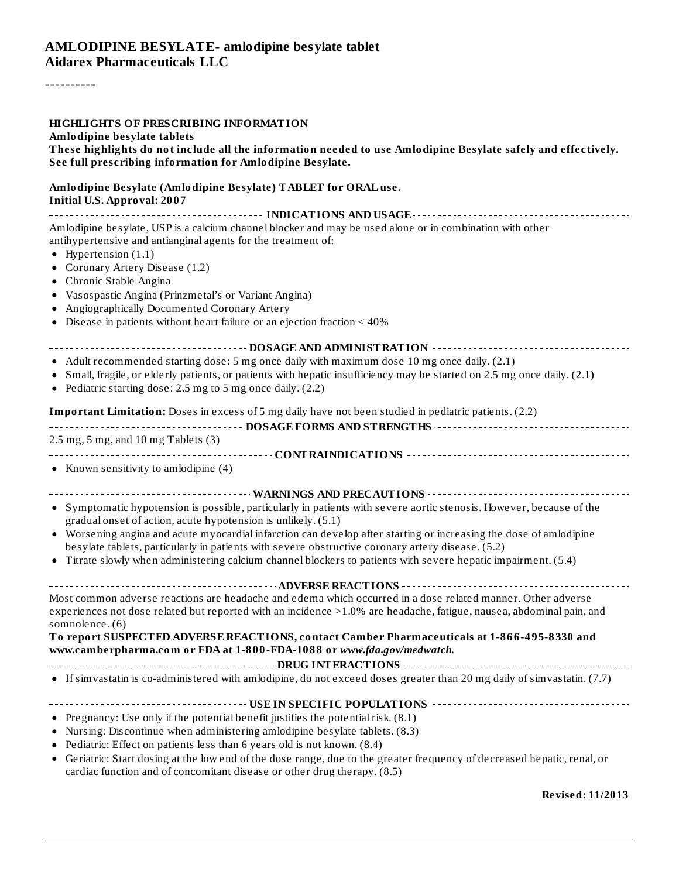#### **AMLODIPINE BESYLATE- amlodipine besylate tablet Aidarex Pharmaceuticals LLC**

----------

#### **HIGHLIGHTS OF PRESCRIBING INFORMATION**

**Amlodipine besylate tablets**

**These highlights do not include all the information needed to use Amlodipine Besylate safely and effectively. See full prescribing information for Amlodipine Besylate.**

#### **Amlodipine Besylate (Amlodipine Besylate) TABLET for ORAL use. Initial U.S. Approval: 2007**

**INDICATIONS AND USAGE INDICATIONS AND USAGE** *CONSIDERATIONS* **AND USAGE** *AND* **USAGE** *AND* **USAGE** *AND* Amlodipine besylate, USP is a calcium channel blocker and may be used alone or in combination with other antihypertensive and antianginal agents for the treatment of:

- $\bullet$  Hypertension (1.1)
- Coronary Artery Disease (1.2)
- Chronic Stable Angina
- Vasospastic Angina (Prinzmetal's or Variant Angina)
- Angiographically Documented Coronary Artery
- Disease in patients without heart failure or an ejection fraction < 40%

**DOSAGE AND ADMINISTRATION**

- Adult recommended starting dose: 5 mg once daily with maximum dose 10 mg once daily. (2.1)
- $\bullet$  Small, fragile, or elderly patients, or patients with hepatic insufficiency may be started on 2.5 mg once daily. (2.1)
- Pediatric starting dose: 2.5 mg to 5 mg once daily. (2.2)

**Important Limitation:** Doses in excess of 5 mg daily have not been studied in pediatric patients. (2.2)

| 2.5 mg, 5 mg, and 10 mg Tablets (3)                                                                                                                                                                                                                    |
|--------------------------------------------------------------------------------------------------------------------------------------------------------------------------------------------------------------------------------------------------------|
|                                                                                                                                                                                                                                                        |
| • Known sensitivity to amlodipine $(4)$                                                                                                                                                                                                                |
|                                                                                                                                                                                                                                                        |
| • Symptomatic hypotension is possible, particularly in patients with severe aortic stenosis. However, because of the<br>gradual onset of action, acute hypotension is unlikely. (5.1)                                                                  |
| • Worsening angina and acute myocardial infarction can develop after starting or increasing the dose of amlodipine<br>besylate tablets, particularly in patients with severe obstructive coronary artery disease. (5.2)                                |
| • Titrate slowly when administering calcium channel blockers to patients with severe hepatic impairment. (5.4)                                                                                                                                         |
|                                                                                                                                                                                                                                                        |
| Most common adverse reactions are headache and edema which occurred in a dose related manner. Other adverse<br>experiences not dose related but reported with an incidence >1.0% are headache, fatigue, nausea, abdominal pain, and<br>somnolence. (6) |
| To report SUSPECTED ADVERSE REACTIONS, contact Camber Pharmaceuticals at 1-866-495-8330 and<br>www.camberpharma.com or FDA at 1-800-FDA-1088 or www.fda.gov/medwatch.                                                                                  |
|                                                                                                                                                                                                                                                        |
| • If simvastatin is co-administered with amlodipine, do not exceed doses greater than 20 mg daily of simvastatin. (7.7)                                                                                                                                |

**USE IN SPECIFIC POPULATIONS**

- Pregnancy: Use only if the potential benefit justifies the potential risk. (8.1)
- Nursing: Discontinue when administering amlodipine besylate tablets. (8.3)
- Pediatric: Effect on patients less than 6 years old is not known. (8.4)
- Geriatric: Start dosing at the low end of the dose range, due to the greater frequency of decreased hepatic, renal, or cardiac function and of concomitant disease or other drug therapy. (8.5)

**Revised: 11/2013**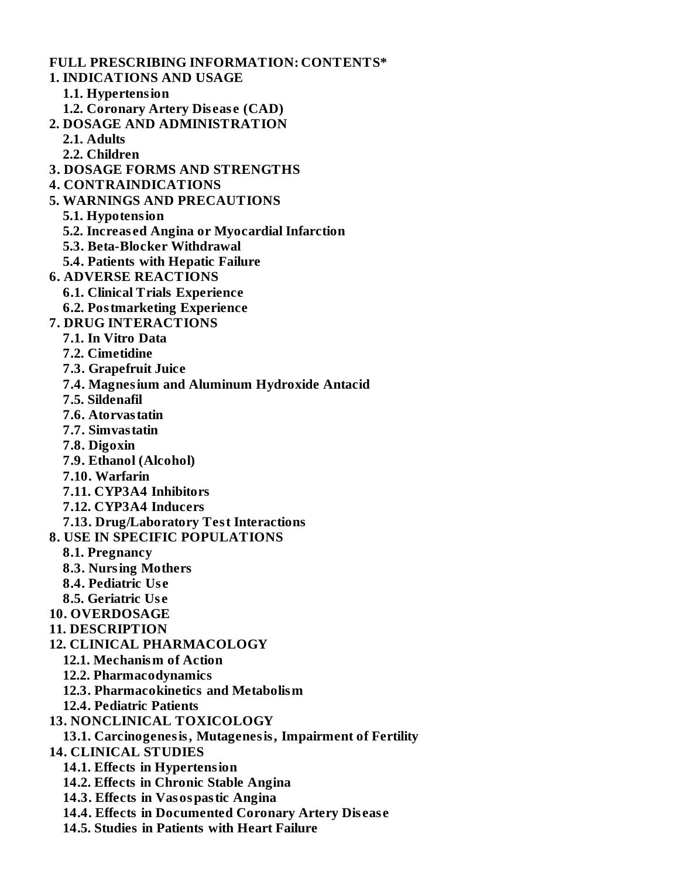**FULL PRESCRIBING INFORMATION: CONTENTS\***

- **1. INDICATIONS AND USAGE**
	- **1.1. Hypertension**
- **1.2. Coronary Artery Dis eas e (CAD)**
- **2. DOSAGE AND ADMINISTRATION**
	- **2.1. Adults**
	- **2.2. Children**
- **3. DOSAGE FORMS AND STRENGTHS**
- **4. CONTRAINDICATIONS**
- **5. WARNINGS AND PRECAUTIONS**
	- **5.1. Hypotension**
	- **5.2. Increas ed Angina or Myocardial Infarction**
	- **5.3. Beta-Blocker Withdrawal**
	- **5.4. Patients with Hepatic Failure**
- **6. ADVERSE REACTIONS**
	- **6.1. Clinical Trials Experience**
	- **6.2. Postmarketing Experience**
- **7. DRUG INTERACTIONS**
	- **7.1. In Vitro Data**
	- **7.2. Cimetidine**
	- **7.3. Grapefruit Juice**
	- **7.4. Magnesium and Aluminum Hydroxide Antacid**
	- **7.5. Sildenafil**
	- **7.6. Atorvastatin**
	- **7.7. Simvastatin**
	- **7.8. Digoxin**
	- **7.9. Ethanol (Alcohol)**
	- **7.10. Warfarin**
	- **7.11. CYP3A4 Inhibitors**
	- **7.12. CYP3A4 Inducers**
	- **7.13. Drug/Laboratory Test Interactions**
- **8. USE IN SPECIFIC POPULATIONS**
	- **8.1. Pregnancy**
	- **8.3. Nursing Mothers**
	- **8.4. Pediatric Us e**
	- **8.5. Geriatric Us e**
- **10. OVERDOSAGE**
- **11. DESCRIPTION**
- **12. CLINICAL PHARMACOLOGY**
	- **12.1. Mechanism of Action**
	- **12.2. Pharmacodynamics**
	- **12.3. Pharmacokinetics and Metabolism**
	- **12.4. Pediatric Patients**
- **13. NONCLINICAL TOXICOLOGY**
	- **13.1. Carcinogenesis, Mutagenesis, Impairment of Fertility**
- **14. CLINICAL STUDIES**
	- **14.1. Effects in Hypertension**
	- **14.2. Effects in Chronic Stable Angina**
	- **14.3. Effects in Vasospastic Angina**
	- **14.4. Effects in Documented Coronary Artery Dis eas e**
	- **14.5. Studies in Patients with Heart Failure**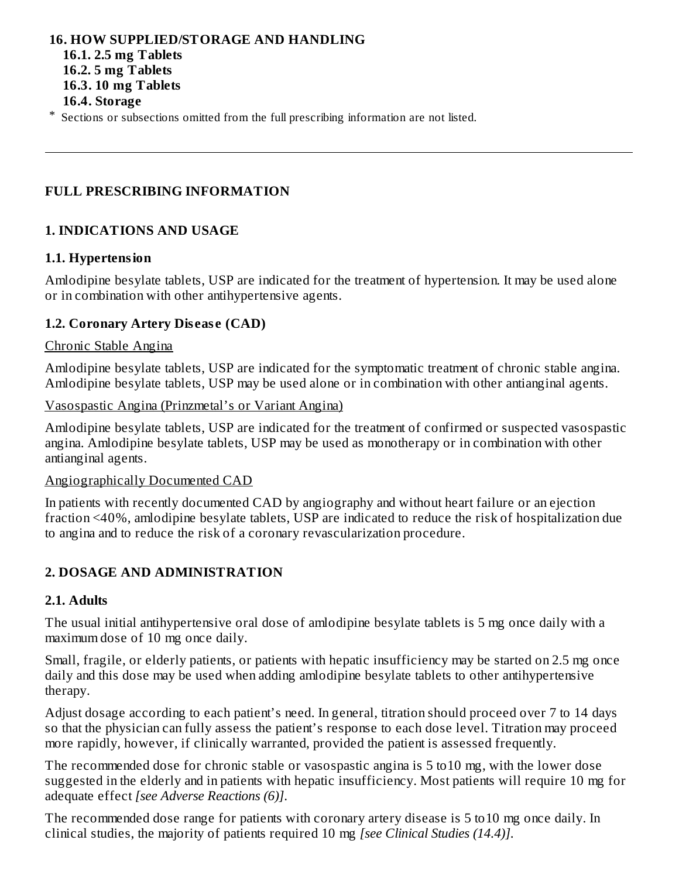#### **16. HOW SUPPLIED/STORAGE AND HANDLING**

### **16.1. 2.5 mg Tablets 16.2. 5 mg Tablets 16.3. 10 mg Tablets**

#### **16.4. Storage**

\* Sections or subsections omitted from the full prescribing information are not listed.

#### **FULL PRESCRIBING INFORMATION**

### **1. INDICATIONS AND USAGE**

#### **1.1. Hypertension**

Amlodipine besylate tablets, USP are indicated for the treatment of hypertension. It may be used alone or in combination with other antihypertensive agents.

### **1.2. Coronary Artery Dis eas e (CAD)**

#### Chronic Stable Angina

Amlodipine besylate tablets, USP are indicated for the symptomatic treatment of chronic stable angina. Amlodipine besylate tablets, USP may be used alone or in combination with other antianginal agents.

#### Vasospastic Angina (Prinzmetal's or Variant Angina)

Amlodipine besylate tablets, USP are indicated for the treatment of confirmed or suspected vasospastic angina. Amlodipine besylate tablets, USP may be used as monotherapy or in combination with other antianginal agents.

#### Angiographically Documented CAD

In patients with recently documented CAD by angiography and without heart failure or an ejection fraction <40%, amlodipine besylate tablets, USP are indicated to reduce the risk of hospitalization due to angina and to reduce the risk of a coronary revascularization procedure.

### **2. DOSAGE AND ADMINISTRATION**

### **2.1. Adults**

The usual initial antihypertensive oral dose of amlodipine besylate tablets is 5 mg once daily with a maximum dose of 10 mg once daily.

Small, fragile, or elderly patients, or patients with hepatic insufficiency may be started on 2.5 mg once daily and this dose may be used when adding amlodipine besylate tablets to other antihypertensive therapy.

Adjust dosage according to each patient's need. In general, titration should proceed over 7 to 14 days so that the physician can fully assess the patient's response to each dose level. Titration may proceed more rapidly, however, if clinically warranted, provided the patient is assessed frequently.

The recommended dose for chronic stable or vasospastic angina is 5 to10 mg, with the lower dose suggested in the elderly and in patients with hepatic insufficiency. Most patients will require 10 mg for adequate effect *[see Adverse Reactions (6)]*.

The recommended dose range for patients with coronary artery disease is 5 to10 mg once daily. In clinical studies, the majority of patients required 10 mg *[see Clinical Studies (14.4)]*.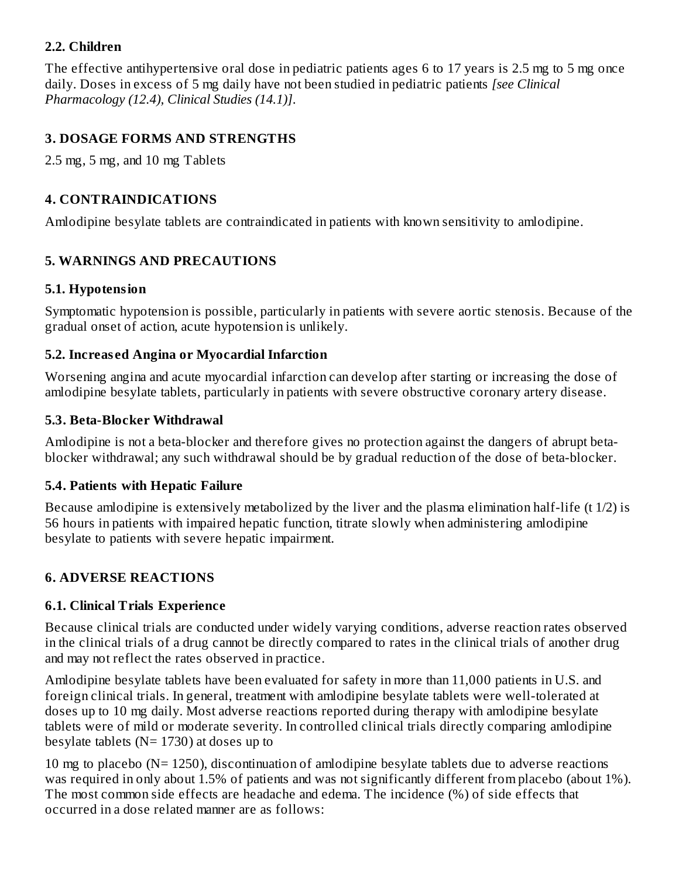### **2.2. Children**

The effective antihypertensive oral dose in pediatric patients ages 6 to 17 years is 2.5 mg to 5 mg once daily. Doses in excess of 5 mg daily have not been studied in pediatric patients *[see Clinical Pharmacology (12.4), Clinical Studies (14.1)]*.

### **3. DOSAGE FORMS AND STRENGTHS**

2.5 mg, 5 mg, and 10 mg Tablets

### **4. CONTRAINDICATIONS**

Amlodipine besylate tablets are contraindicated in patients with known sensitivity to amlodipine.

### **5. WARNINGS AND PRECAUTIONS**

### **5.1. Hypotension**

Symptomatic hypotension is possible, particularly in patients with severe aortic stenosis. Because of the gradual onset of action, acute hypotension is unlikely.

### **5.2. Increas ed Angina or Myocardial Infarction**

Worsening angina and acute myocardial infarction can develop after starting or increasing the dose of amlodipine besylate tablets, particularly in patients with severe obstructive coronary artery disease.

### **5.3. Beta-Blocker Withdrawal**

Amlodipine is not a beta-blocker and therefore gives no protection against the dangers of abrupt betablocker withdrawal; any such withdrawal should be by gradual reduction of the dose of beta-blocker.

### **5.4. Patients with Hepatic Failure**

Because amlodipine is extensively metabolized by the liver and the plasma elimination half-life (t 1/2) is 56 hours in patients with impaired hepatic function, titrate slowly when administering amlodipine besylate to patients with severe hepatic impairment.

### **6. ADVERSE REACTIONS**

### **6.1. Clinical Trials Experience**

Because clinical trials are conducted under widely varying conditions, adverse reaction rates observed in the clinical trials of a drug cannot be directly compared to rates in the clinical trials of another drug and may not reflect the rates observed in practice.

Amlodipine besylate tablets have been evaluated for safety in more than 11,000 patients in U.S. and foreign clinical trials. In general, treatment with amlodipine besylate tablets were well-tolerated at doses up to 10 mg daily. Most adverse reactions reported during therapy with amlodipine besylate tablets were of mild or moderate severity. In controlled clinical trials directly comparing amlodipine besylate tablets  $(N= 1730)$  at doses up to

10 mg to placebo (N= 1250), discontinuation of amlodipine besylate tablets due to adverse reactions was required in only about 1.5% of patients and was not significantly different from placebo (about 1%). The most common side effects are headache and edema. The incidence (%) of side effects that occurred in a dose related manner are as follows: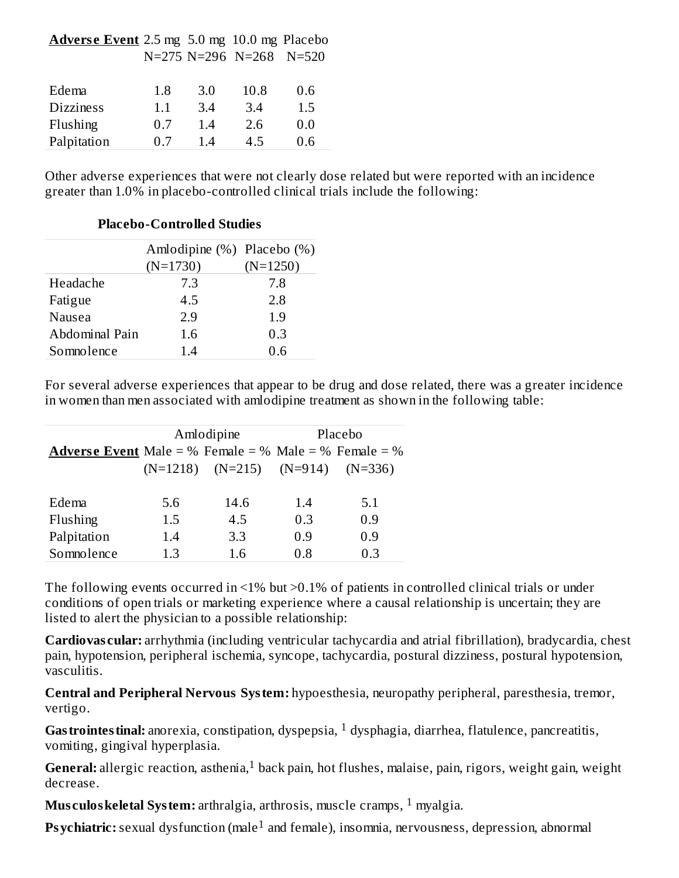| <b>Adverse Event</b> 2.5 mg 5.0 mg 10.0 mg Placebo |     |     |                   |           |
|----------------------------------------------------|-----|-----|-------------------|-----------|
|                                                    |     |     | N=275 N=296 N=268 | $N = 520$ |
|                                                    |     |     |                   |           |
| Edema                                              | 1.8 | 3.0 | 10.8              | 0.6       |
| <b>Dizziness</b>                                   | 1.1 | 3.4 | 3.4               | 1.5       |
| Flushing                                           | 0.7 | 1.4 | 2.6               | 0.0       |
| Palpitation                                        | 0.7 | 1.4 | 4.5               | 0.6       |
|                                                    |     |     |                   |           |

Other adverse experiences that were not clearly dose related but were reported with an incidence greater than 1.0% in placebo-controlled clinical trials include the following:

#### **Placebo-Controlled Studies**

|                | Amlodipine (%) Placebo (%) |            |
|----------------|----------------------------|------------|
|                | $(N=1730)$                 | $(N=1250)$ |
| Headache       | 7.3                        | 7.8        |
| Fatigue        | 4.5                        | 2.8        |
| Nausea         | 2.9                        | 1.9        |
| Abdominal Pain | 1.6                        | 0.3        |
| Somnolence     | 1.4                        | 0.6        |

For several adverse experiences that appear to be drug and dose related, there was a greater incidence in women than men associated with amlodipine treatment as shown in the following table:

|                                                              |     | Amlodipine                     |     | Placebo   |
|--------------------------------------------------------------|-----|--------------------------------|-----|-----------|
| <b>Adverse Event</b> Male = % Female = % Male = % Female = % |     |                                |     |           |
|                                                              |     | $(N=1218)$ $(N=215)$ $(N=914)$ |     | $(N=336)$ |
|                                                              |     |                                |     |           |
| Edema                                                        | 5.6 | 14.6                           | 1.4 | 5.1       |
| Flushing                                                     | 1.5 | 4.5                            | 0.3 | 0.9       |
| Palpitation                                                  | 1.4 | 3.3                            | 0.9 | 0.9       |
| Somnolence                                                   | 1.3 | 1.6                            | 0.8 | 0.3       |

The following events occurred in <1% but >0.1% of patients in controlled clinical trials or under conditions of open trials or marketing experience where a causal relationship is uncertain; they are listed to alert the physician to a possible relationship:

**Cardiovas cular:** arrhythmia (including ventricular tachycardia and atrial fibrillation), bradycardia, chest pain, hypotension, peripheral ischemia, syncope, tachycardia, postural dizziness, postural hypotension, vasculitis.

**Central and Peripheral Nervous System:** hypoesthesia, neuropathy peripheral, paresthesia, tremor, vertigo.

Gastrointestinal: anorexia, constipation, dyspepsia, <sup>1</sup> dysphagia, diarrhea, flatulence, pancreatitis, vomiting, gingival hyperplasia.

General: allergic reaction, asthenia, <sup>1</sup> back pain, hot flushes, malaise, pain, rigors, weight gain, weight decrease.

**Mus culos keletal System:** arthralgia, arthrosis, muscle cramps, <sup>1</sup> myalgia.

 ${\bf P}$ s ${\bf y}$ c**hiatric:** sexual dysfunction (male $^1$  and female), insomnia, nervousness, depression, abnormal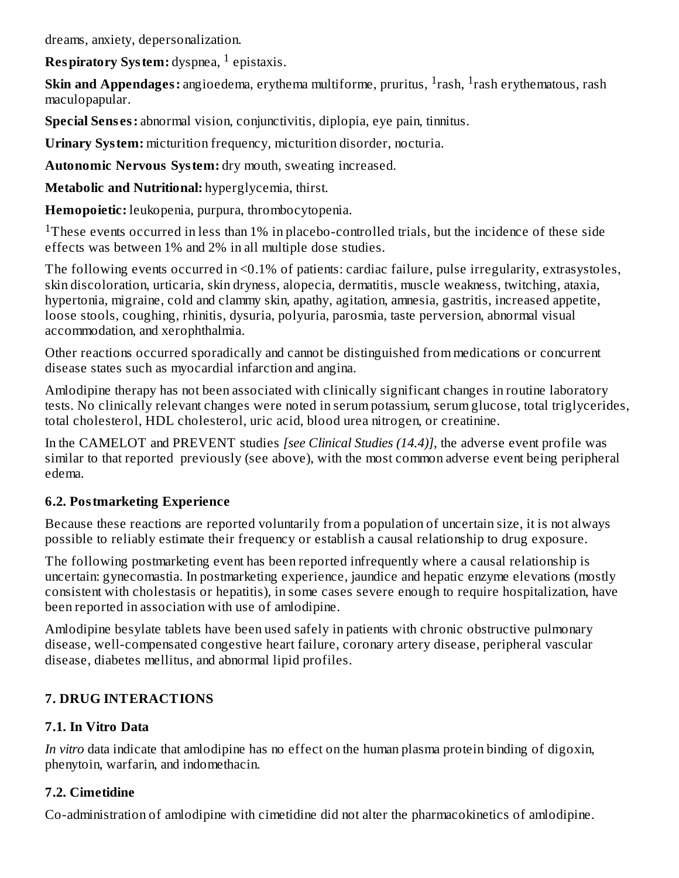dreams, anxiety, depersonalization.

**Respiratory System:** dyspnea, <sup>1</sup> epistaxis.

 ${\bf Skin}$  and  ${\bf Appendix:}$  angioedema, erythema multiforme, pruritus,  $^1$ rash,  $^1$ rash erythematous, rash maculopapular.

**Special Sens es:** abnormal vision, conjunctivitis, diplopia, eye pain, tinnitus.

**Urinary System:** micturition frequency, micturition disorder, nocturia.

**Autonomic Nervous System:** dry mouth, sweating increased.

**Metabolic and Nutritional:** hyperglycemia, thirst.

**Hemopoietic:** leukopenia, purpura, thrombocytopenia.

<sup>1</sup>These events occurred in less than 1% in placebo-controlled trials, but the incidence of these side effects was between 1% and 2% in all multiple dose studies.

The following events occurred in <0.1% of patients: cardiac failure, pulse irregularity, extrasystoles, skin discoloration, urticaria, skin dryness, alopecia, dermatitis, muscle weakness, twitching, ataxia, hypertonia, migraine, cold and clammy skin, apathy, agitation, amnesia, gastritis, increased appetite, loose stools, coughing, rhinitis, dysuria, polyuria, parosmia, taste perversion, abnormal visual accommodation, and xerophthalmia.

Other reactions occurred sporadically and cannot be distinguished from medications or concurrent disease states such as myocardial infarction and angina.

Amlodipine therapy has not been associated with clinically significant changes in routine laboratory tests. No clinically relevant changes were noted in serum potassium, serum glucose, total triglycerides, total cholesterol, HDL cholesterol, uric acid, blood urea nitrogen, or creatinine.

In the CAMELOT and PREVENT studies *[see Clinical Studies (14.4)]*, the adverse event profile was similar to that reported previously (see above), with the most common adverse event being peripheral edema.

# **6.2. Postmarketing Experience**

Because these reactions are reported voluntarily from a population of uncertain size, it is not always possible to reliably estimate their frequency or establish a causal relationship to drug exposure.

The following postmarketing event has been reported infrequently where a causal relationship is uncertain: gynecomastia. In postmarketing experience, jaundice and hepatic enzyme elevations (mostly consistent with cholestasis or hepatitis), in some cases severe enough to require hospitalization, have been reported in association with use of amlodipine.

Amlodipine besylate tablets have been used safely in patients with chronic obstructive pulmonary disease, well-compensated congestive heart failure, coronary artery disease, peripheral vascular disease, diabetes mellitus, and abnormal lipid profiles.

# **7. DRUG INTERACTIONS**

# **7.1. In Vitro Data**

*In vitro* data indicate that amlodipine has no effect on the human plasma protein binding of digoxin, phenytoin, warfarin, and indomethacin.

# **7.2. Cimetidine**

Co-administration of amlodipine with cimetidine did not alter the pharmacokinetics of amlodipine.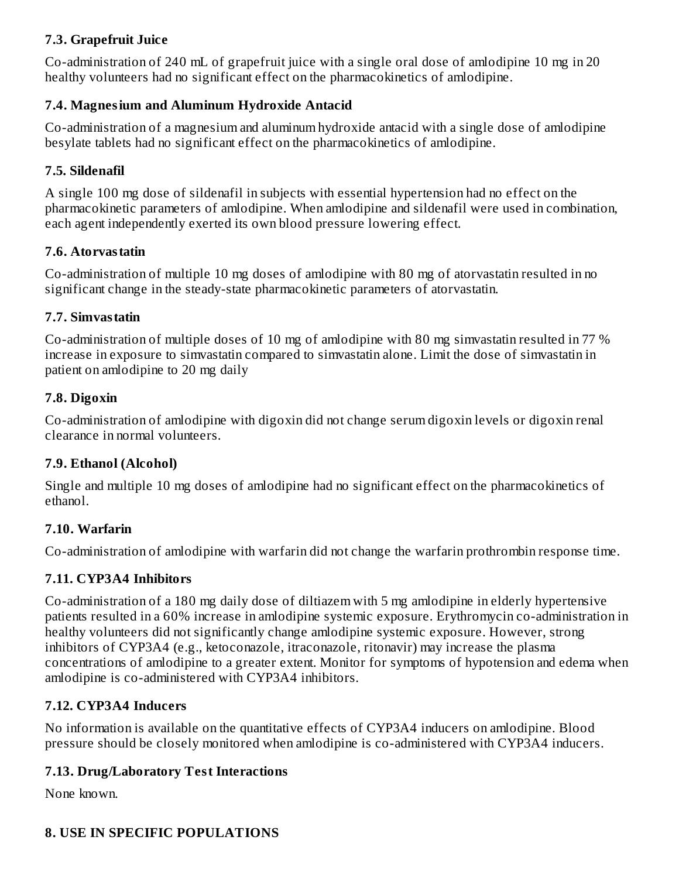### **7.3. Grapefruit Juice**

Co-administration of 240 mL of grapefruit juice with a single oral dose of amlodipine 10 mg in 20 healthy volunteers had no significant effect on the pharmacokinetics of amlodipine.

### **7.4. Magnesium and Aluminum Hydroxide Antacid**

Co-administration of a magnesium and aluminum hydroxide antacid with a single dose of amlodipine besylate tablets had no significant effect on the pharmacokinetics of amlodipine.

### **7.5. Sildenafil**

A single 100 mg dose of sildenafil in subjects with essential hypertension had no effect on the pharmacokinetic parameters of amlodipine. When amlodipine and sildenafil were used in combination, each agent independently exerted its own blood pressure lowering effect.

### **7.6. Atorvastatin**

Co-administration of multiple 10 mg doses of amlodipine with 80 mg of atorvastatin resulted in no significant change in the steady-state pharmacokinetic parameters of atorvastatin.

### **7.7. Simvastatin**

Co-administration of multiple doses of 10 mg of amlodipine with 80 mg simvastatin resulted in 77 % increase in exposure to simvastatin compared to simvastatin alone. Limit the dose of simvastatin in patient on amlodipine to 20 mg daily

### **7.8. Digoxin**

Co-administration of amlodipine with digoxin did not change serum digoxin levels or digoxin renal clearance in normal volunteers.

### **7.9. Ethanol (Alcohol)**

Single and multiple 10 mg doses of amlodipine had no significant effect on the pharmacokinetics of ethanol.

### **7.10. Warfarin**

Co-administration of amlodipine with warfarin did not change the warfarin prothrombin response time.

### **7.11. CYP3A4 Inhibitors**

Co-administration of a 180 mg daily dose of diltiazem with 5 mg amlodipine in elderly hypertensive patients resulted in a 60% increase in amlodipine systemic exposure. Erythromycin co-administration in healthy volunteers did not significantly change amlodipine systemic exposure. However, strong inhibitors of CYP3A4 (e.g., ketoconazole, itraconazole, ritonavir) may increase the plasma concentrations of amlodipine to a greater extent. Monitor for symptoms of hypotension and edema when amlodipine is co-administered with CYP3A4 inhibitors.

### **7.12. CYP3A4 Inducers**

No information is available on the quantitative effects of CYP3A4 inducers on amlodipine. Blood pressure should be closely monitored when amlodipine is co-administered with CYP3A4 inducers.

### **7.13. Drug/Laboratory Test Interactions**

None known.

### **8. USE IN SPECIFIC POPULATIONS**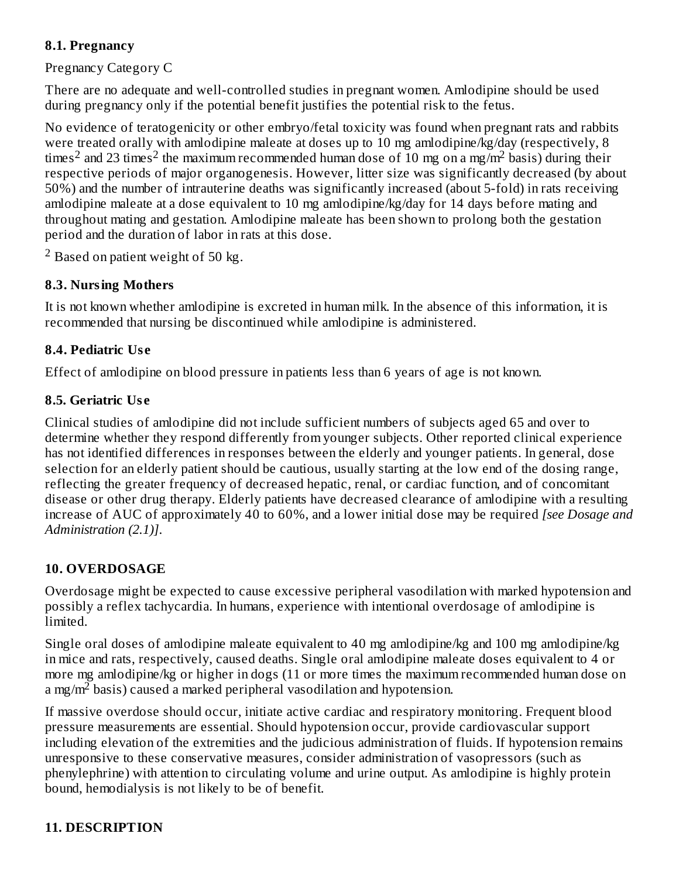### **8.1. Pregnancy**

Pregnancy Category C

There are no adequate and well-controlled studies in pregnant women. Amlodipine should be used during pregnancy only if the potential benefit justifies the potential risk to the fetus.

No evidence of teratogenicity or other embryo/fetal toxicity was found when pregnant rats and rabbits were treated orally with amlodipine maleate at doses up to 10 mg amlodipine/kg/day (respectively, 8 times<sup>2</sup> and 23 times<sup>2</sup> the maximum recommended human dose of 10 mg on a mg/m<sup>2</sup> basis) during their respective periods of major organogenesis. However, litter size was significantly decreased (by about 50%) and the number of intrauterine deaths was significantly increased (about 5-fold) in rats receiving amlodipine maleate at a dose equivalent to 10 mg amlodipine/kg/day for 14 days before mating and throughout mating and gestation. Amlodipine maleate has been shown to prolong both the gestation period and the duration of labor in rats at this dose.

 $2$  Based on patient weight of 50 kg.

### **8.3. Nursing Mothers**

It is not known whether amlodipine is excreted in human milk. In the absence of this information, it is recommended that nursing be discontinued while amlodipine is administered.

## **8.4. Pediatric Us e**

Effect of amlodipine on blood pressure in patients less than 6 years of age is not known.

### **8.5. Geriatric Us e**

Clinical studies of amlodipine did not include sufficient numbers of subjects aged 65 and over to determine whether they respond differently from younger subjects. Other reported clinical experience has not identified differences in responses between the elderly and younger patients. In general, dose selection for an elderly patient should be cautious, usually starting at the low end of the dosing range, reflecting the greater frequency of decreased hepatic, renal, or cardiac function, and of concomitant disease or other drug therapy. Elderly patients have decreased clearance of amlodipine with a resulting increase of AUC of approximately 40 to 60%, and a lower initial dose may be required *[see Dosage and Administration (2.1)]*.

### **10. OVERDOSAGE**

Overdosage might be expected to cause excessive peripheral vasodilation with marked hypotension and possibly a reflex tachycardia. In humans, experience with intentional overdosage of amlodipine is limited.

Single oral doses of amlodipine maleate equivalent to 40 mg amlodipine/kg and 100 mg amlodipine/kg in mice and rats, respectively, caused deaths. Single oral amlodipine maleate doses equivalent to 4 or more mg amlodipine/kg or higher in dogs (11 or more times the maximum recommended human dose on a mg/m<sup>2</sup> basis) caused a marked peripheral vasodilation and hypotension.

If massive overdose should occur, initiate active cardiac and respiratory monitoring. Frequent blood pressure measurements are essential. Should hypotension occur, provide cardiovascular support including elevation of the extremities and the judicious administration of fluids. If hypotension remains unresponsive to these conservative measures, consider administration of vasopressors (such as phenylephrine) with attention to circulating volume and urine output. As amlodipine is highly protein bound, hemodialysis is not likely to be of benefit.

### **11. DESCRIPTION**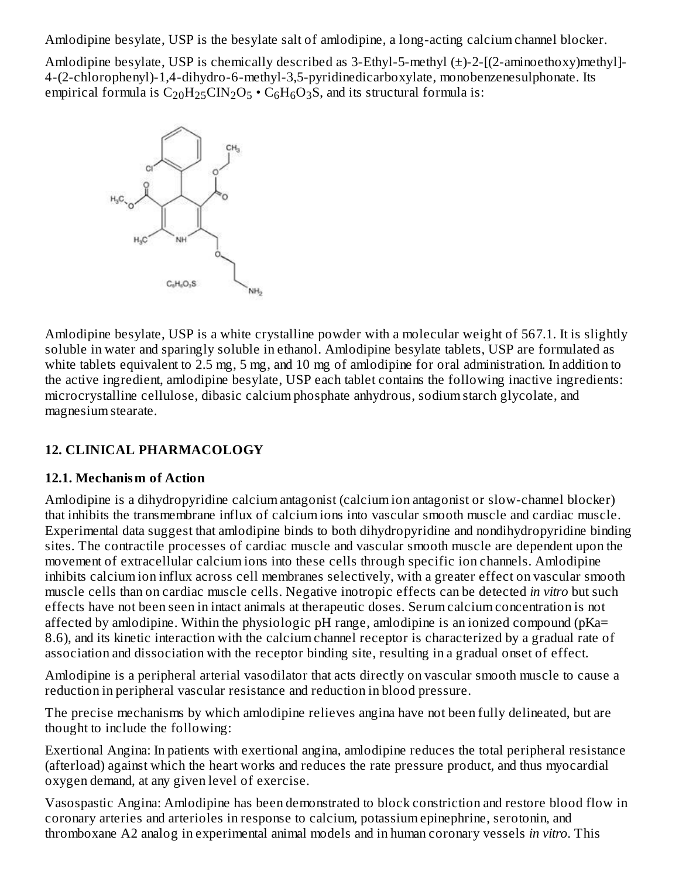Amlodipine besylate, USP is the besylate salt of amlodipine, a long-acting calcium channel blocker.

Amlodipine besylate, USP is chemically described as 3-Ethyl-5-methyl (±)-2-[(2-aminoethoxy)methyl]- 4-(2-chlorophenyl)-1,4-dihydro-6-methyl-3,5-pyridinedicarboxylate, monobenzenesulphonate. Its empirical formula is  $C_{20}H_{25}CIN_2O_5 \cdot C_6H_6O_3S$ , and its structural formula is:



Amlodipine besylate, USP is a white crystalline powder with a molecular weight of 567.1. It is slightly soluble in water and sparingly soluble in ethanol. Amlodipine besylate tablets, USP are formulated as white tablets equivalent to 2.5 mg, 5 mg, and 10 mg of amlodipine for oral administration. In addition to the active ingredient, amlodipine besylate, USP each tablet contains the following inactive ingredients: microcrystalline cellulose, dibasic calcium phosphate anhydrous, sodium starch glycolate, and magnesium stearate.

## **12. CLINICAL PHARMACOLOGY**

### **12.1. Mechanism of Action**

Amlodipine is a dihydropyridine calcium antagonist (calcium ion antagonist or slow-channel blocker) that inhibits the transmembrane influx of calcium ions into vascular smooth muscle and cardiac muscle. Experimental data suggest that amlodipine binds to both dihydropyridine and nondihydropyridine binding sites. The contractile processes of cardiac muscle and vascular smooth muscle are dependent upon the movement of extracellular calcium ions into these cells through specific ion channels. Amlodipine inhibits calcium ion influx across cell membranes selectively, with a greater effect on vascular smooth muscle cells than on cardiac muscle cells. Negative inotropic effects can be detected *in vitro* but such effects have not been seen in intact animals at therapeutic doses. Serum calcium concentration is not affected by amlodipine. Within the physiologic pH range, amlodipine is an ionized compound (pKa= 8.6), and its kinetic interaction with the calcium channel receptor is characterized by a gradual rate of association and dissociation with the receptor binding site, resulting in a gradual onset of effect.

Amlodipine is a peripheral arterial vasodilator that acts directly on vascular smooth muscle to cause a reduction in peripheral vascular resistance and reduction in blood pressure.

The precise mechanisms by which amlodipine relieves angina have not been fully delineated, but are thought to include the following:

Exertional Angina: In patients with exertional angina, amlodipine reduces the total peripheral resistance (afterload) against which the heart works and reduces the rate pressure product, and thus myocardial oxygen demand, at any given level of exercise.

Vasospastic Angina: Amlodipine has been demonstrated to block constriction and restore blood flow in coronary arteries and arterioles in response to calcium, potassium epinephrine, serotonin, and thromboxane A2 analog in experimental animal models and in human coronary vessels *in vitro*. This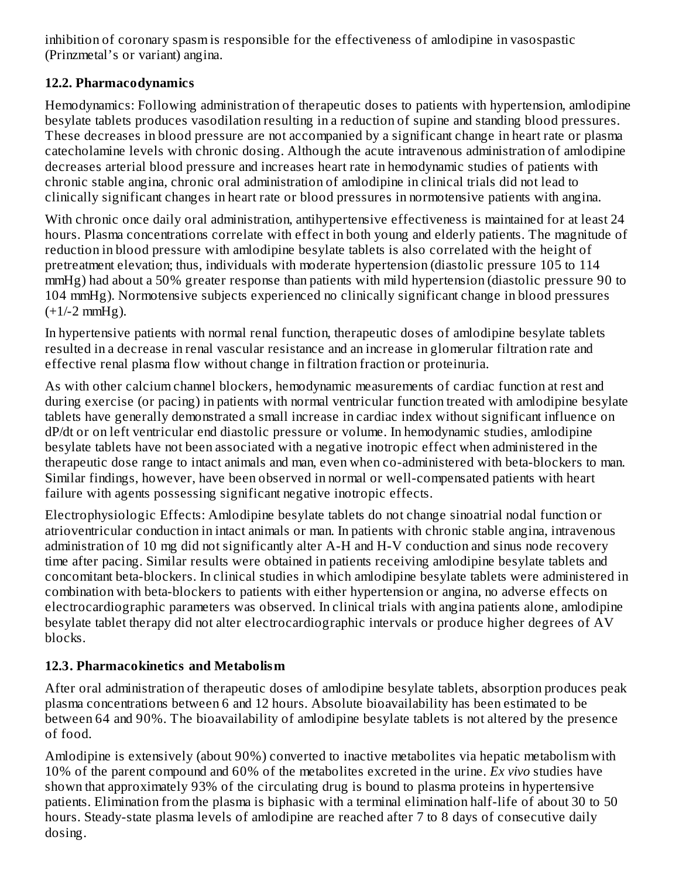inhibition of coronary spasm is responsible for the effectiveness of amlodipine in vasospastic (Prinzmetal's or variant) angina.

### **12.2. Pharmacodynamics**

Hemodynamics: Following administration of therapeutic doses to patients with hypertension, amlodipine besylate tablets produces vasodilation resulting in a reduction of supine and standing blood pressures. These decreases in blood pressure are not accompanied by a significant change in heart rate or plasma catecholamine levels with chronic dosing. Although the acute intravenous administration of amlodipine decreases arterial blood pressure and increases heart rate in hemodynamic studies of patients with chronic stable angina, chronic oral administration of amlodipine in clinical trials did not lead to clinically significant changes in heart rate or blood pressures in normotensive patients with angina.

With chronic once daily oral administration, antihypertensive effectiveness is maintained for at least 24 hours. Plasma concentrations correlate with effect in both young and elderly patients. The magnitude of reduction in blood pressure with amlodipine besylate tablets is also correlated with the height of pretreatment elevation; thus, individuals with moderate hypertension (diastolic pressure 105 to 114 mmHg) had about a 50% greater response than patients with mild hypertension (diastolic pressure 90 to 104 mmHg). Normotensive subjects experienced no clinically significant change in blood pressures  $(+1/-2$  mmHg).

In hypertensive patients with normal renal function, therapeutic doses of amlodipine besylate tablets resulted in a decrease in renal vascular resistance and an increase in glomerular filtration rate and effective renal plasma flow without change in filtration fraction or proteinuria.

As with other calcium channel blockers, hemodynamic measurements of cardiac function at rest and during exercise (or pacing) in patients with normal ventricular function treated with amlodipine besylate tablets have generally demonstrated a small increase in cardiac index without significant influence on dP/dt or on left ventricular end diastolic pressure or volume. In hemodynamic studies, amlodipine besylate tablets have not been associated with a negative inotropic effect when administered in the therapeutic dose range to intact animals and man, even when co-administered with beta-blockers to man. Similar findings, however, have been observed in normal or well-compensated patients with heart failure with agents possessing significant negative inotropic effects.

Electrophysiologic Effects: Amlodipine besylate tablets do not change sinoatrial nodal function or atrioventricular conduction in intact animals or man. In patients with chronic stable angina, intravenous administration of 10 mg did not significantly alter A-H and H-V conduction and sinus node recovery time after pacing. Similar results were obtained in patients receiving amlodipine besylate tablets and concomitant beta-blockers. In clinical studies in which amlodipine besylate tablets were administered in combination with beta-blockers to patients with either hypertension or angina, no adverse effects on electrocardiographic parameters was observed. In clinical trials with angina patients alone, amlodipine besylate tablet therapy did not alter electrocardiographic intervals or produce higher degrees of AV blocks.

### **12.3. Pharmacokinetics and Metabolism**

After oral administration of therapeutic doses of amlodipine besylate tablets, absorption produces peak plasma concentrations between 6 and 12 hours. Absolute bioavailability has been estimated to be between 64 and 90%. The bioavailability of amlodipine besylate tablets is not altered by the presence of food.

Amlodipine is extensively (about 90%) converted to inactive metabolites via hepatic metabolism with 10% of the parent compound and 60% of the metabolites excreted in the urine. *Ex vivo* studies have shown that approximately 93% of the circulating drug is bound to plasma proteins in hypertensive patients. Elimination from the plasma is biphasic with a terminal elimination half-life of about 30 to 50 hours. Steady-state plasma levels of amlodipine are reached after 7 to 8 days of consecutive daily dosing.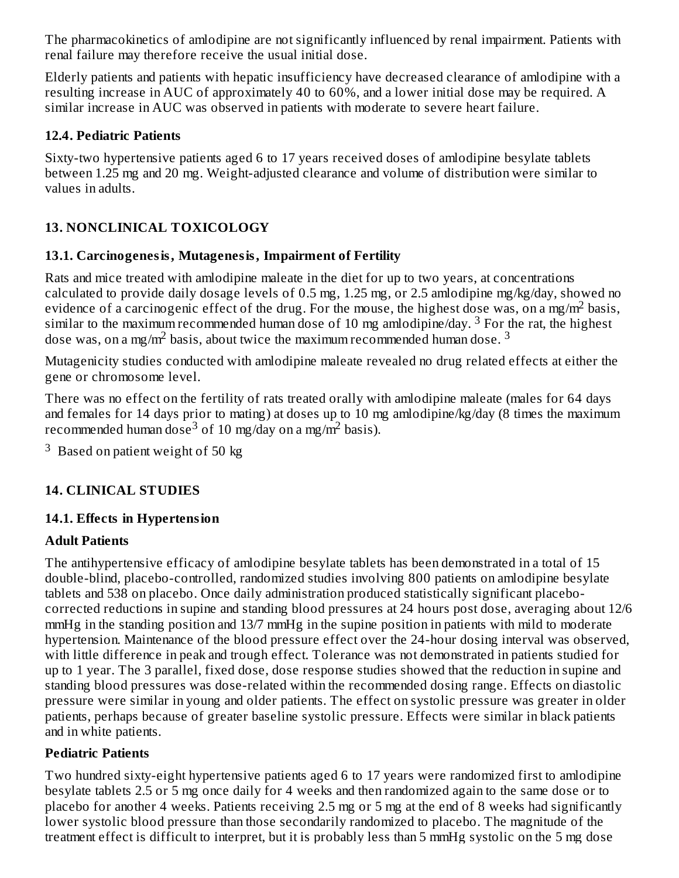The pharmacokinetics of amlodipine are not significantly influenced by renal impairment. Patients with renal failure may therefore receive the usual initial dose.

Elderly patients and patients with hepatic insufficiency have decreased clearance of amlodipine with a resulting increase in AUC of approximately 40 to 60%, and a lower initial dose may be required. A similar increase in AUC was observed in patients with moderate to severe heart failure.

### **12.4. Pediatric Patients**

Sixty-two hypertensive patients aged 6 to 17 years received doses of amlodipine besylate tablets between 1.25 mg and 20 mg. Weight-adjusted clearance and volume of distribution were similar to values in adults.

### **13. NONCLINICAL TOXICOLOGY**

### **13.1. Carcinogenesis, Mutagenesis, Impairment of Fertility**

Rats and mice treated with amlodipine maleate in the diet for up to two years, at concentrations calculated to provide daily dosage levels of 0.5 mg, 1.25 mg, or 2.5 amlodipine mg/kg/day, showed no evidence of a carcinogenic effect of the drug. For the mouse, the highest dose was, on a mg/m<sup>2</sup> basis, similar to the maximum recommended human dose of 10 mg amlodipine/day.  $3$  For the rat, the highest dose was, on a mg/m<sup>2</sup> basis, about twice the maximum recommended human dose.  $^3$ 

Mutagenicity studies conducted with amlodipine maleate revealed no drug related effects at either the gene or chromosome level.

There was no effect on the fertility of rats treated orally with amlodipine maleate (males for 64 days and females for 14 days prior to mating) at doses up to 10 mg amlodipine/kg/day (8 times the maximum recommended human dose<sup>3</sup> of 10 mg/day on a mg/m<sup>2</sup> basis).

 $3$  Based on patient weight of 50 kg

## **14. CLINICAL STUDIES**

## **14.1. Effects in Hypertension**

### **Adult Patients**

The antihypertensive efficacy of amlodipine besylate tablets has been demonstrated in a total of 15 double-blind, placebo-controlled, randomized studies involving 800 patients on amlodipine besylate tablets and 538 on placebo. Once daily administration produced statistically significant placebocorrected reductions in supine and standing blood pressures at 24 hours post dose, averaging about 12/6 mmHg in the standing position and 13/7 mmHg in the supine position in patients with mild to moderate hypertension. Maintenance of the blood pressure effect over the 24-hour dosing interval was observed, with little difference in peak and trough effect. Tolerance was not demonstrated in patients studied for up to 1 year. The 3 parallel, fixed dose, dose response studies showed that the reduction in supine and standing blood pressures was dose-related within the recommended dosing range. Effects on diastolic pressure were similar in young and older patients. The effect on systolic pressure was greater in older patients, perhaps because of greater baseline systolic pressure. Effects were similar in black patients and in white patients.

### **Pediatric Patients**

Two hundred sixty-eight hypertensive patients aged 6 to 17 years were randomized first to amlodipine besylate tablets 2.5 or 5 mg once daily for 4 weeks and then randomized again to the same dose or to placebo for another 4 weeks. Patients receiving 2.5 mg or 5 mg at the end of 8 weeks had significantly lower systolic blood pressure than those secondarily randomized to placebo. The magnitude of the treatment effect is difficult to interpret, but it is probably less than 5 mmHg systolic on the 5 mg dose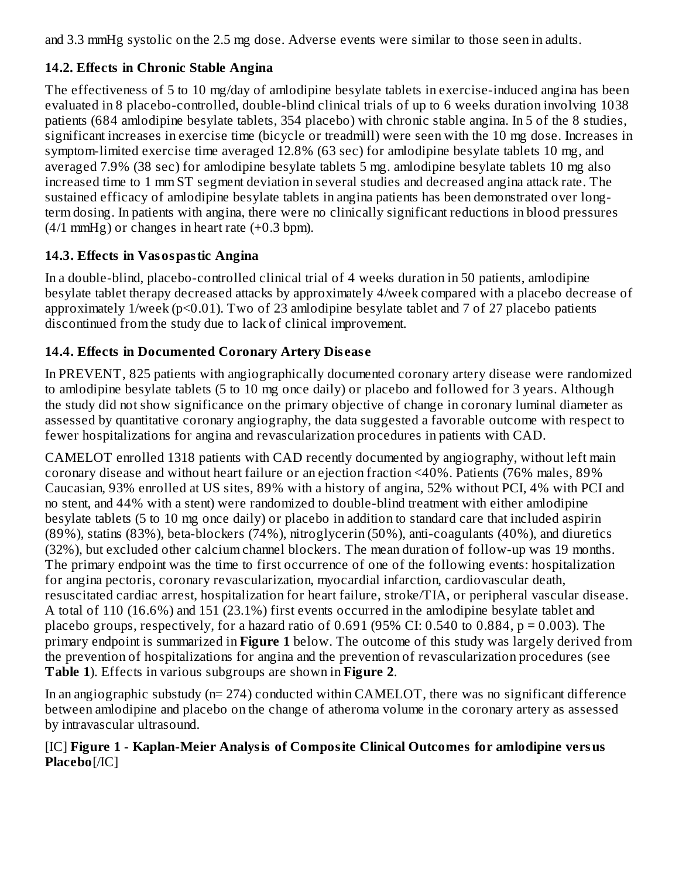and 3.3 mmHg systolic on the 2.5 mg dose. Adverse events were similar to those seen in adults.

### **14.2. Effects in Chronic Stable Angina**

The effectiveness of 5 to 10 mg/day of amlodipine besylate tablets in exercise-induced angina has been evaluated in 8 placebo-controlled, double-blind clinical trials of up to 6 weeks duration involving 1038 patients (684 amlodipine besylate tablets, 354 placebo) with chronic stable angina. In 5 of the 8 studies, significant increases in exercise time (bicycle or treadmill) were seen with the 10 mg dose. Increases in symptom-limited exercise time averaged 12.8% (63 sec) for amlodipine besylate tablets 10 mg, and averaged 7.9% (38 sec) for amlodipine besylate tablets 5 mg. amlodipine besylate tablets 10 mg also increased time to 1 mm ST segment deviation in several studies and decreased angina attack rate. The sustained efficacy of amlodipine besylate tablets in angina patients has been demonstrated over longterm dosing. In patients with angina, there were no clinically significant reductions in blood pressures  $(4/1$  mmHg) or changes in heart rate  $(+0.3$  bpm).

### **14.3. Effects in Vasospastic Angina**

In a double-blind, placebo-controlled clinical trial of 4 weeks duration in 50 patients, amlodipine besylate tablet therapy decreased attacks by approximately 4/week compared with a placebo decrease of approximately 1/week (p<0.01). Two of 23 amlodipine besylate tablet and 7 of 27 placebo patients discontinued from the study due to lack of clinical improvement.

### **14.4. Effects in Documented Coronary Artery Dis eas e**

In PREVENT, 825 patients with angiographically documented coronary artery disease were randomized to amlodipine besylate tablets (5 to 10 mg once daily) or placebo and followed for 3 years. Although the study did not show significance on the primary objective of change in coronary luminal diameter as assessed by quantitative coronary angiography, the data suggested a favorable outcome with respect to fewer hospitalizations for angina and revascularization procedures in patients with CAD.

CAMELOT enrolled 1318 patients with CAD recently documented by angiography, without left main coronary disease and without heart failure or an ejection fraction <40%. Patients (76% males, 89% Caucasian, 93% enrolled at US sites, 89% with a history of angina, 52% without PCI, 4% with PCI and no stent, and 44% with a stent) were randomized to double-blind treatment with either amlodipine besylate tablets (5 to 10 mg once daily) or placebo in addition to standard care that included aspirin (89%), statins (83%), beta-blockers (74%), nitroglycerin (50%), anti-coagulants (40%), and diuretics (32%), but excluded other calcium channel blockers. The mean duration of follow-up was 19 months. The primary endpoint was the time to first occurrence of one of the following events: hospitalization for angina pectoris, coronary revascularization, myocardial infarction, cardiovascular death, resuscitated cardiac arrest, hospitalization for heart failure, stroke/TIA, or peripheral vascular disease. A total of 110 (16.6%) and 151 (23.1%) first events occurred in the amlodipine besylate tablet and placebo groups, respectively, for a hazard ratio of  $0.691$  (95% CI: 0.540 to 0.884,  $p = 0.003$ ). The primary endpoint is summarized in **Figure 1** below. The outcome of this study was largely derived from the prevention of hospitalizations for angina and the prevention of revascularization procedures (see **Table 1**). Effects in various subgroups are shown in **Figure 2**.

In an angiographic substudy (n= 274) conducted within CAMELOT, there was no significant difference between amlodipine and placebo on the change of atheroma volume in the coronary artery as assessed by intravascular ultrasound.

### [IC] **Figure 1 - Kaplan-Meier Analysis of Composite Clinical Outcomes for amlodipine versus Placebo**[/IC]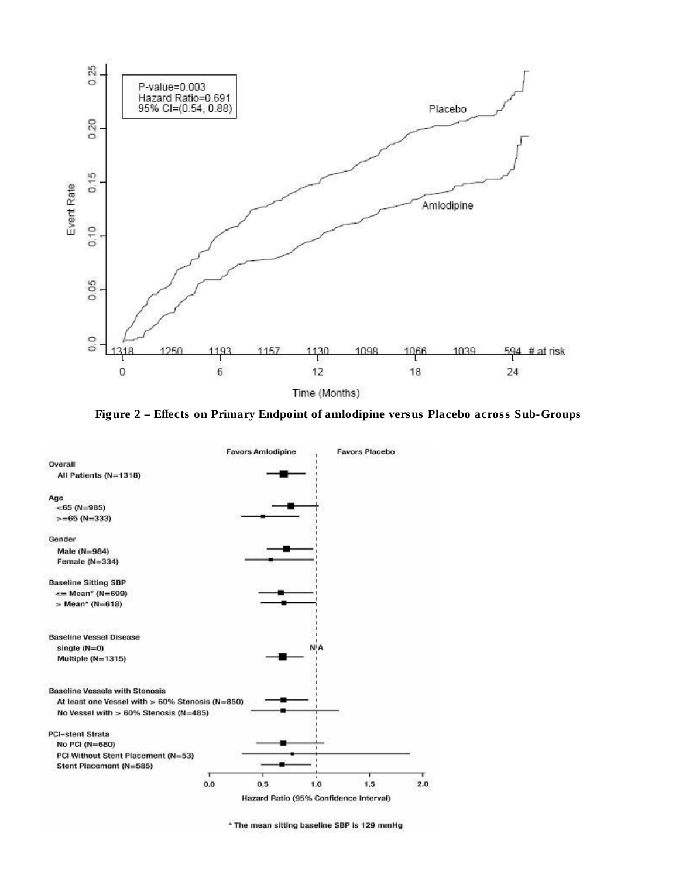

**Fig ure 2 – Effects on Primary Endpoint of amlodipine versus Placebo across Sub-Groups**



\* The mean sitting baseline SBP is 129 mmHg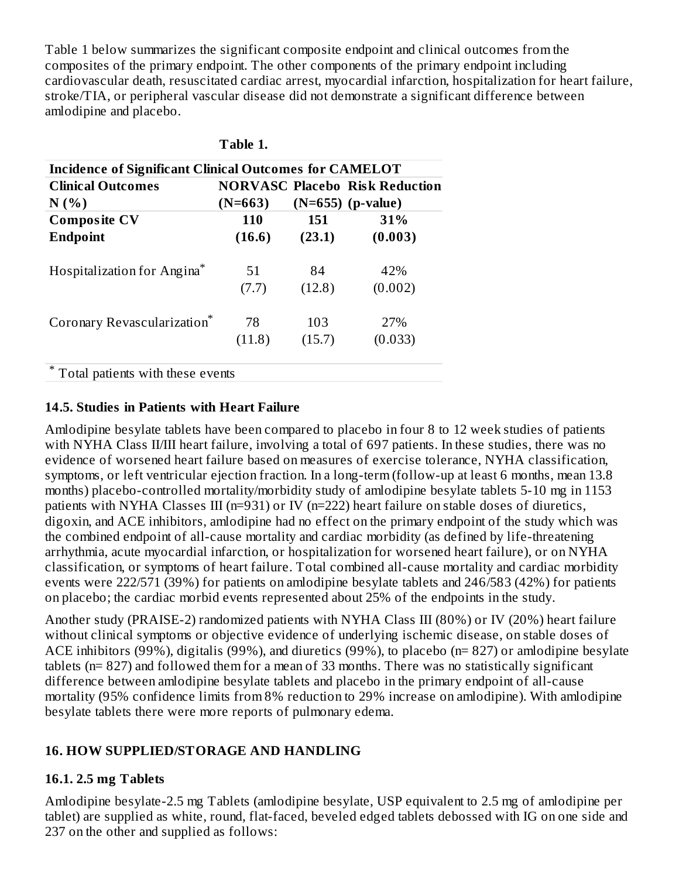Table 1 below summarizes the significant composite endpoint and clinical outcomes from the composites of the primary endpoint. The other components of the primary endpoint including cardiovascular death, resuscitated cardiac arrest, myocardial infarction, hospitalization for heart failure, stroke/TIA, or peripheral vascular disease did not demonstrate a significant difference between amlodipine and placebo.

|                                                               | Table 1.     |               |                                       |  |  |  |  |  |  |
|---------------------------------------------------------------|--------------|---------------|---------------------------------------|--|--|--|--|--|--|
| <b>Incidence of Significant Clinical Outcomes for CAMELOT</b> |              |               |                                       |  |  |  |  |  |  |
| <b>Clinical Outcomes</b>                                      |              |               | <b>NORVASC Placebo Risk Reduction</b> |  |  |  |  |  |  |
| N(%                                                           | $(N=663)$    |               | $(N=655)$ (p-value)                   |  |  |  |  |  |  |
| <b>Composite CV</b>                                           | <b>110</b>   | 151           | 31%                                   |  |  |  |  |  |  |
| <b>Endpoint</b>                                               | (16.6)       | (23.1)        | (0.003)                               |  |  |  |  |  |  |
| Hospitalization for Angina*                                   | 51<br>(7.7)  | 84<br>(12.8)  | 42%<br>(0.002)                        |  |  |  |  |  |  |
| Coronary Revascularization*                                   | 78<br>(11.8) | 103<br>(15.7) | 27%<br>(0.033)                        |  |  |  |  |  |  |
| Total patients with these events                              |              |               |                                       |  |  |  |  |  |  |

#### **14.5. Studies in Patients with Heart Failure**

Amlodipine besylate tablets have been compared to placebo in four 8 to 12 week studies of patients with NYHA Class II/III heart failure, involving a total of 697 patients. In these studies, there was no evidence of worsened heart failure based on measures of exercise tolerance, NYHA classification, symptoms, or left ventricular ejection fraction. In a long-term (follow-up at least 6 months, mean 13.8 months) placebo-controlled mortality/morbidity study of amlodipine besylate tablets 5-10 mg in 1153 patients with NYHA Classes III (n=931) or IV (n=222) heart failure on stable doses of diuretics, digoxin, and ACE inhibitors, amlodipine had no effect on the primary endpoint of the study which was the combined endpoint of all-cause mortality and cardiac morbidity (as defined by life-threatening arrhythmia, acute myocardial infarction, or hospitalization for worsened heart failure), or on NYHA classification, or symptoms of heart failure. Total combined all-cause mortality and cardiac morbidity events were 222/571 (39%) for patients on amlodipine besylate tablets and 246/583 (42%) for patients on placebo; the cardiac morbid events represented about 25% of the endpoints in the study.

Another study (PRAISE-2) randomized patients with NYHA Class III (80%) or IV (20%) heart failure without clinical symptoms or objective evidence of underlying ischemic disease, on stable doses of ACE inhibitors (99%), digitalis (99%), and diuretics (99%), to placebo (n= 827) or amlodipine besylate tablets (n= 827) and followed them for a mean of 33 months. There was no statistically significant difference between amlodipine besylate tablets and placebo in the primary endpoint of all-cause mortality (95% confidence limits from 8% reduction to 29% increase on amlodipine). With amlodipine besylate tablets there were more reports of pulmonary edema.

### **16. HOW SUPPLIED/STORAGE AND HANDLING**

#### **16.1. 2.5 mg Tablets**

Amlodipine besylate-2.5 mg Tablets (amlodipine besylate, USP equivalent to 2.5 mg of amlodipine per tablet) are supplied as white, round, flat-faced, beveled edged tablets debossed with IG on one side and 237 on the other and supplied as follows: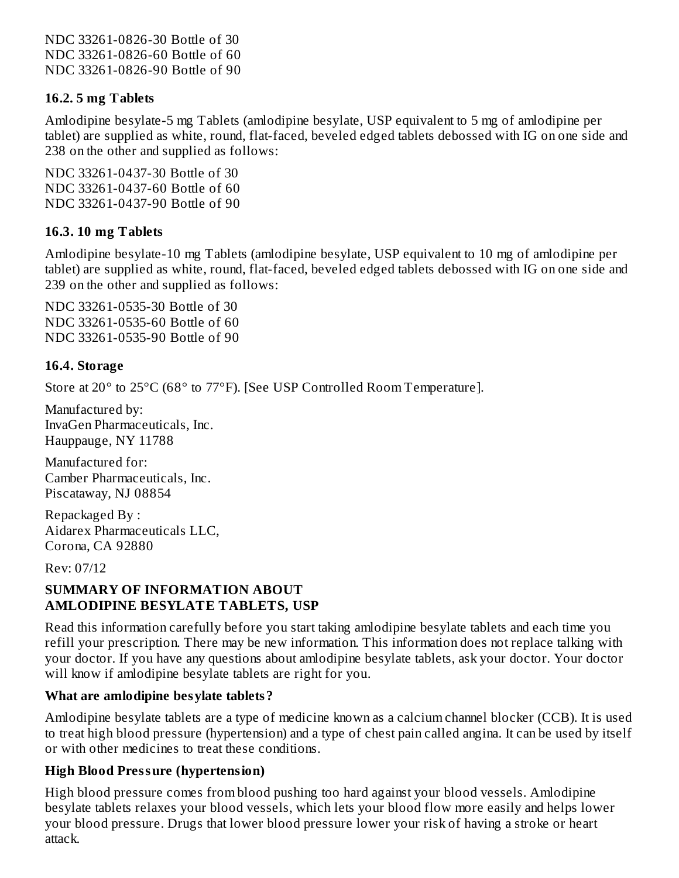NDC 33261-0826-30 Bottle of 30 NDC 33261-0826-60 Bottle of 60 NDC 33261-0826-90 Bottle of 90

#### **16.2. 5 mg Tablets**

Amlodipine besylate-5 mg Tablets (amlodipine besylate, USP equivalent to 5 mg of amlodipine per tablet) are supplied as white, round, flat-faced, beveled edged tablets debossed with IG on one side and 238 on the other and supplied as follows:

NDC 33261-0437-30 Bottle of 30 NDC 33261-0437-60 Bottle of 60 NDC 33261-0437-90 Bottle of 90

### **16.3. 10 mg Tablets**

Amlodipine besylate-10 mg Tablets (amlodipine besylate, USP equivalent to 10 mg of amlodipine per tablet) are supplied as white, round, flat-faced, beveled edged tablets debossed with IG on one side and 239 on the other and supplied as follows:

NDC 33261-0535-30 Bottle of 30 NDC 33261-0535-60 Bottle of 60 NDC 33261-0535-90 Bottle of 90

#### **16.4. Storage**

Store at 20° to 25°C (68° to 77°F). [See USP Controlled Room Temperature].

Manufactured by: InvaGen Pharmaceuticals, Inc. Hauppauge, NY 11788

Manufactured for: Camber Pharmaceuticals, Inc. Piscataway, NJ 08854

Repackaged By : Aidarex Pharmaceuticals LLC, Corona, CA 92880

Rev: 07/12

### **SUMMARY OF INFORMATION ABOUT AMLODIPINE BESYLATE TABLETS, USP**

Read this information carefully before you start taking amlodipine besylate tablets and each time you refill your prescription. There may be new information. This information does not replace talking with your doctor. If you have any questions about amlodipine besylate tablets, ask your doctor. Your doctor will know if amlodipine besylate tablets are right for you.

### **What are amlodipine besylate tablets?**

Amlodipine besylate tablets are a type of medicine known as a calcium channel blocker (CCB). It is used to treat high blood pressure (hypertension) and a type of chest pain called angina. It can be used by itself or with other medicines to treat these conditions.

### **High Blood Pressure (hypertension)**

High blood pressure comes from blood pushing too hard against your blood vessels. Amlodipine besylate tablets relaxes your blood vessels, which lets your blood flow more easily and helps lower your blood pressure. Drugs that lower blood pressure lower your risk of having a stroke or heart attack.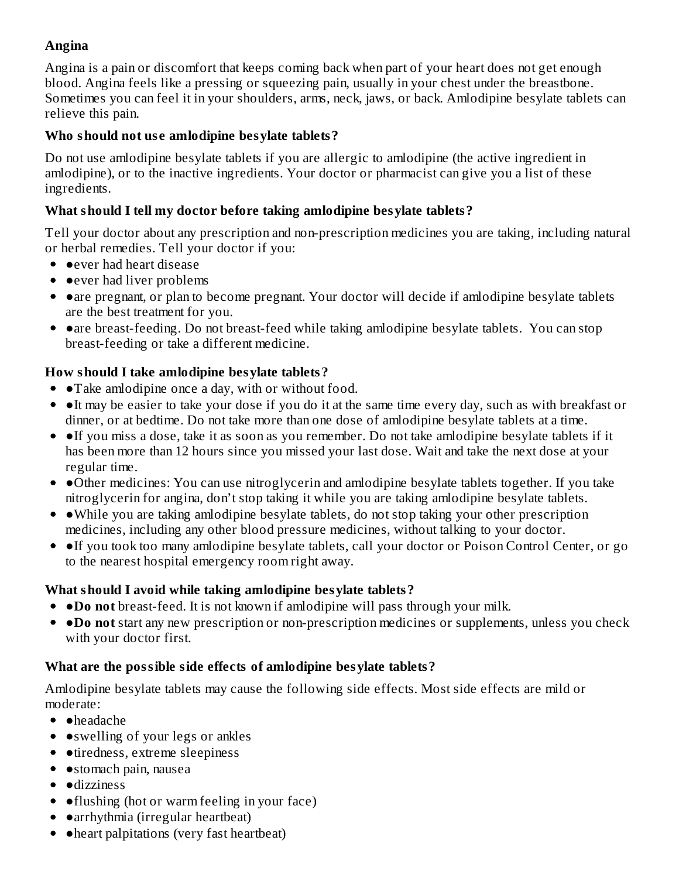### **Angina**

Angina is a pain or discomfort that keeps coming back when part of your heart does not get enough blood. Angina feels like a pressing or squeezing pain, usually in your chest under the breastbone. Sometimes you can feel it in your shoulders, arms, neck, jaws, or back. Amlodipine besylate tablets can relieve this pain.

### **Who should not us e amlodipine besylate tablets?**

Do not use amlodipine besylate tablets if you are allergic to amlodipine (the active ingredient in amlodipine), or to the inactive ingredients. Your doctor or pharmacist can give you a list of these ingredients.

### **What should I tell my doctor before taking amlodipine besylate tablets?**

Tell your doctor about any prescription and non-prescription medicines you are taking, including natural or herbal remedies. Tell your doctor if you:

- ●ever had heart disease
- **•** ever had liver problems
- • are pregnant, or plan to become pregnant. Your doctor will decide if amlodipine besylate tablets are the best treatment for you.
- • are breast-feeding. Do not breast-feed while taking amlodipine besylate tablets. You can stop breast-feeding or take a different medicine.

### **How should I take amlodipine besylate tablets?**

- • Take amlodipine once a day, with or without food.
- It may be easier to take your dose if you do it at the same time every day, such as with breakfast or dinner, or at bedtime. Do not take more than one dose of amlodipine besylate tablets at a time.
- ■If you miss a dose, take it as soon as you remember. Do not take amlodipine besylate tablets if it has been more than 12 hours since you missed your last dose. Wait and take the next dose at your regular time.
- ●Other medicines: You can use nitroglycerin and amlodipine besylate tablets together. If you take nitroglycerin for angina, don't stop taking it while you are taking amlodipine besylate tablets.
- • While you are taking amlodipine besylate tablets, do not stop taking your other prescription medicines, including any other blood pressure medicines, without talking to your doctor.
- If you took too many amlodipine besylate tablets, call your doctor or Poison Control Center, or go to the nearest hospital emergency room right away.

### **What should I avoid while taking amlodipine besylate tablets?**

- ●**Do not** breast-feed. It is not known if amlodipine will pass through your milk.
- ●**Do not** start any new prescription or non-prescription medicines or supplements, unless you check with your doctor first.

### **What are the possible side effects of amlodipine besylate tablets?**

Amlodipine besylate tablets may cause the following side effects. Most side effects are mild or moderate:

- ●headache
- • swelling of your legs or ankles
- • tiredness, extreme sleepiness
- ●stomach pain, nausea
- **o**dizziness
- • flushing (hot or warm feeling in your face)
- • arrhythmia (irregular heartbeat)
- • heart palpitations (very fast heartbeat)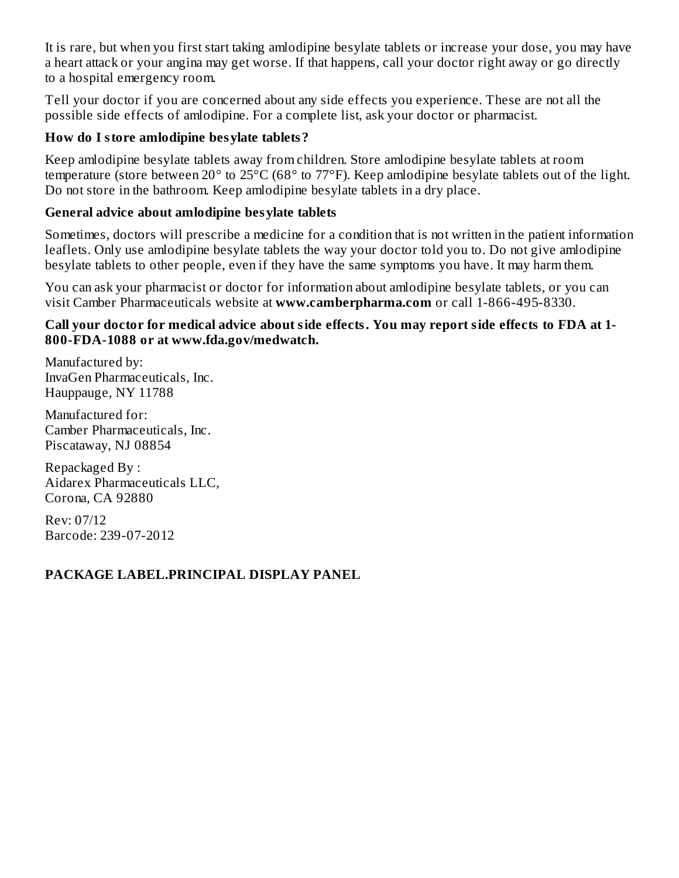It is rare, but when you first start taking amlodipine besylate tablets or increase your dose, you may have a heart attack or your angina may get worse. If that happens, call your doctor right away or go directly to a hospital emergency room.

Tell your doctor if you are concerned about any side effects you experience. These are not all the possible side effects of amlodipine. For a complete list, ask your doctor or pharmacist.

### **How do I store amlodipine besylate tablets?**

Keep amlodipine besylate tablets away from children. Store amlodipine besylate tablets at room temperature (store between 20° to 25°C (68° to 77°F). Keep amlodipine besylate tablets out of the light. Do not store in the bathroom. Keep amlodipine besylate tablets in a dry place.

### **General advice about amlodipine besylate tablets**

Sometimes, doctors will prescribe a medicine for a condition that is not written in the patient information leaflets. Only use amlodipine besylate tablets the way your doctor told you to. Do not give amlodipine besylate tablets to other people, even if they have the same symptoms you have. It may harm them.

You can ask your pharmacist or doctor for information about amlodipine besylate tablets, or you can visit Camber Pharmaceuticals website at **www.camberpharma.com** or call 1-866-495-8330.

#### **Call your doctor for medical advice about side effects. You may report side effects to FDA at 1- 800-FDA-1088 or at www.fda.gov/medwatch.**

Manufactured by: InvaGen Pharmaceuticals, Inc. Hauppauge, NY 11788

Manufactured for: Camber Pharmaceuticals, Inc. Piscataway, NJ 08854

Repackaged By : Aidarex Pharmaceuticals LLC, Corona, CA 92880

Rev: 07/12 Barcode: 239-07-2012

### **PACKAGE LABEL.PRINCIPAL DISPLAY PANEL**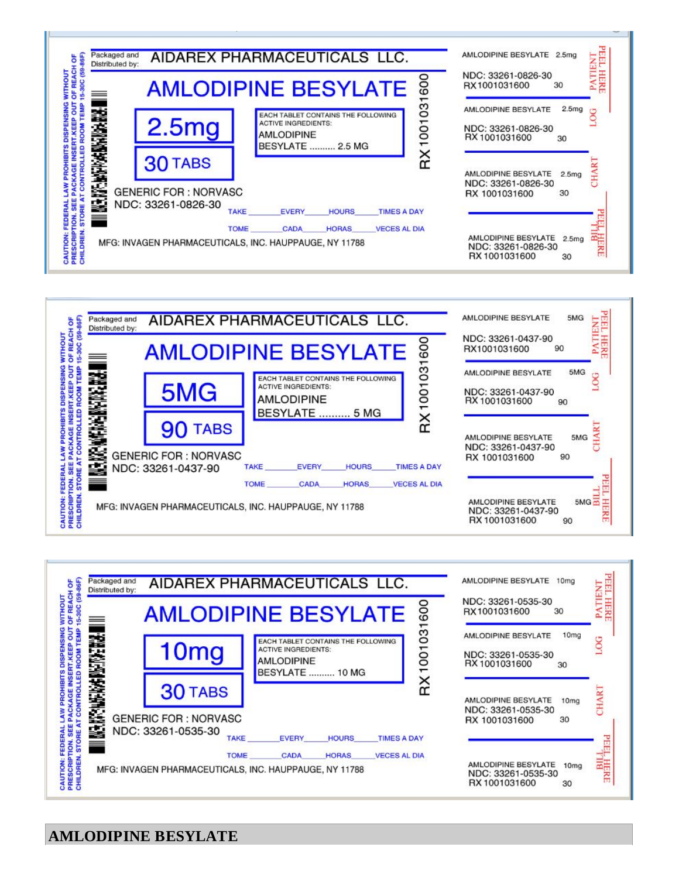





**AMLODIPINE BESYLATE**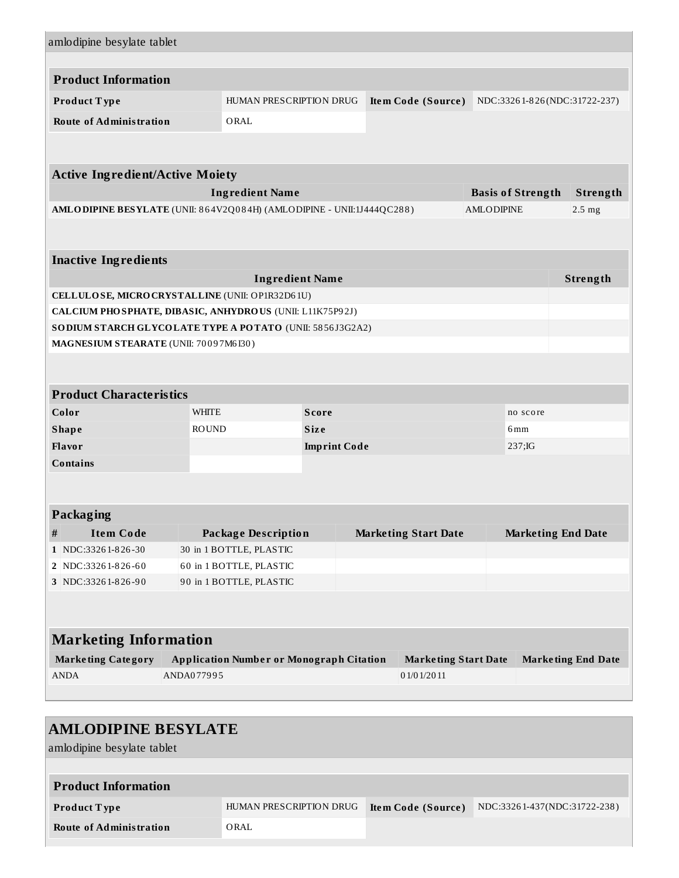| amlodipine besylate tablet                                            |              |                                                 |                     |  |                             |                   |                           |                              |  |
|-----------------------------------------------------------------------|--------------|-------------------------------------------------|---------------------|--|-----------------------------|-------------------|---------------------------|------------------------------|--|
| <b>Product Information</b>                                            |              |                                                 |                     |  |                             |                   |                           |                              |  |
| Product Type                                                          |              | HUMAN PRESCRIPTION DRUG                         |                     |  | Item Code (Source)          |                   |                           | NDC:33261-826(NDC:31722-237) |  |
| <b>Route of Administration</b>                                        |              | ORAL                                            |                     |  |                             |                   |                           |                              |  |
|                                                                       |              |                                                 |                     |  |                             |                   |                           |                              |  |
|                                                                       |              |                                                 |                     |  |                             |                   |                           |                              |  |
| <b>Active Ingredient/Active Moiety</b>                                |              |                                                 |                     |  |                             |                   |                           |                              |  |
| <b>Ingredient Name</b><br><b>Basis of Strength</b>                    |              |                                                 |                     |  |                             |                   |                           | Strength                     |  |
| AMLODIPINE BESYLATE (UNII: 864V2Q084H) (AMLODIPINE - UNII:1J444QC288) |              |                                                 |                     |  |                             | <b>AMLODIPINE</b> |                           | $2.5$ mg                     |  |
|                                                                       |              |                                                 |                     |  |                             |                   |                           |                              |  |
| <b>Inactive Ingredients</b>                                           |              |                                                 |                     |  |                             |                   |                           |                              |  |
|                                                                       |              | <b>Ingredient Name</b>                          |                     |  |                             |                   |                           | Strength                     |  |
| CELLULOSE, MICRO CRYSTALLINE (UNII: OP1R32D61U)                       |              |                                                 |                     |  |                             |                   |                           |                              |  |
| CALCIUM PHO SPHATE, DIBASIC, ANHYDRO US (UNII: L11K75P92J)            |              |                                                 |                     |  |                             |                   |                           |                              |  |
| SODIUM STARCH GLYCOLATE TYPE A POTATO (UNII: 5856J3G2A2)              |              |                                                 |                     |  |                             |                   |                           |                              |  |
| MAGNESIUM STEARATE (UNII: 70097M6I30)                                 |              |                                                 |                     |  |                             |                   |                           |                              |  |
|                                                                       |              |                                                 |                     |  |                             |                   |                           |                              |  |
| <b>Product Characteristics</b>                                        |              |                                                 |                     |  |                             |                   |                           |                              |  |
| Color                                                                 | <b>WHITE</b> |                                                 | <b>Score</b>        |  |                             |                   | no score                  |                              |  |
| <b>Shape</b>                                                          | <b>ROUND</b> |                                                 | <b>Size</b>         |  |                             |                   | 6 <sub>mm</sub>           |                              |  |
| Flavor                                                                |              |                                                 | <b>Imprint Code</b> |  |                             |                   | 237;IG                    |                              |  |
| <b>Contains</b>                                                       |              |                                                 |                     |  |                             |                   |                           |                              |  |
|                                                                       |              |                                                 |                     |  |                             |                   |                           |                              |  |
|                                                                       |              |                                                 |                     |  |                             |                   |                           |                              |  |
| <b>Packaging</b>                                                      |              |                                                 |                     |  |                             |                   |                           |                              |  |
| <b>Item Code</b><br>#                                                 |              | <b>Package Description</b>                      |                     |  | <b>Marketing Start Date</b> |                   | <b>Marketing End Date</b> |                              |  |
| 1 NDC:33261-826-30                                                    |              | 30 in 1 BOTTLE, PLASTIC                         |                     |  |                             |                   |                           |                              |  |
| 2 NDC:33261-826-60                                                    |              | 60 in 1 BOTTLE, PLASTIC                         |                     |  |                             |                   |                           |                              |  |
| 3 NDC:33261-826-90                                                    |              | 90 in 1 BOTTLE, PLASTIC                         |                     |  |                             |                   |                           |                              |  |
|                                                                       |              |                                                 |                     |  |                             |                   |                           |                              |  |
|                                                                       |              |                                                 |                     |  |                             |                   |                           |                              |  |
| <b>Marketing Information</b>                                          |              |                                                 |                     |  |                             |                   |                           |                              |  |
| <b>Marketing Category</b>                                             |              | <b>Application Number or Monograph Citation</b> |                     |  | <b>Marketing Start Date</b> |                   |                           | <b>Marketing End Date</b>    |  |
| ANDA                                                                  | ANDA077995   |                                                 |                     |  | 01/01/2011                  |                   |                           |                              |  |
|                                                                       |              |                                                 |                     |  |                             |                   |                           |                              |  |
|                                                                       |              |                                                 |                     |  |                             |                   |                           |                              |  |
| <b>AMLODIPINE BESYLATE</b>                                            |              |                                                 |                     |  |                             |                   |                           |                              |  |
| amlodipine besylate tablet                                            |              |                                                 |                     |  |                             |                   |                           |                              |  |
|                                                                       |              |                                                 |                     |  |                             |                   |                           |                              |  |
| <b>Product Information</b>                                            |              |                                                 |                     |  |                             |                   |                           |                              |  |
| Product Type                                                          |              | HUMAN PRESCRIPTION DRUG                         |                     |  | Item Code (Source)          |                   |                           | NDC:33261-437(NDC:31722-238) |  |

**Route of Administration** ORAL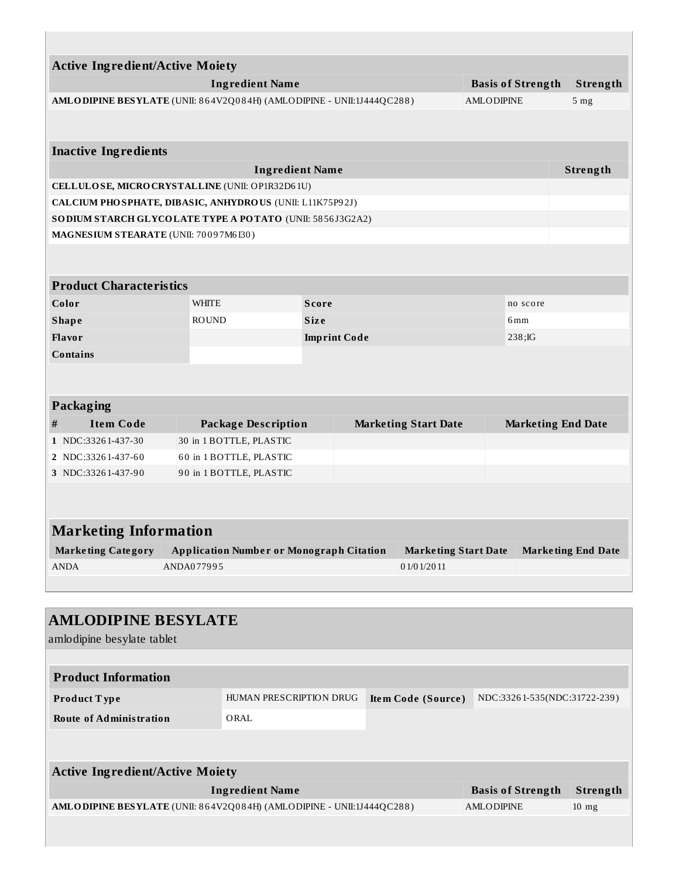| <b>Active Ingredient/Active Moiety</b>                                |                                                 |                                                 |                     |  |                                           |                   |                              |                           |  |  |
|-----------------------------------------------------------------------|-------------------------------------------------|-------------------------------------------------|---------------------|--|-------------------------------------------|-------------------|------------------------------|---------------------------|--|--|
| <b>Ingredient Name</b><br><b>Basis of Strength</b><br>Strength        |                                                 |                                                 |                     |  |                                           |                   |                              |                           |  |  |
| AMLODIPINE BESYLATE (UNII: 864V2Q084H) (AMLODIPINE - UNII:1J444QC288) |                                                 |                                                 |                     |  |                                           | <b>AMLODIPINE</b> |                              | 5 <sub>mg</sub>           |  |  |
|                                                                       |                                                 |                                                 |                     |  |                                           |                   |                              |                           |  |  |
| <b>Inactive Ingredients</b>                                           |                                                 |                                                 |                     |  |                                           |                   |                              |                           |  |  |
|                                                                       |                                                 | <b>Ingredient Name</b>                          |                     |  |                                           |                   |                              | Strength                  |  |  |
|                                                                       | CELLULOSE, MICRO CRYSTALLINE (UNII: OP1R32D61U) |                                                 |                     |  |                                           |                   |                              |                           |  |  |
| CALCIUM PHO SPHATE, DIBASIC, ANHYDRO US (UNII: L11K75P92J)            |                                                 |                                                 |                     |  |                                           |                   |                              |                           |  |  |
| SO DIUM STARCH GLYCOLATE TYPE A POTATO (UNII: 5856J3G2A2)             |                                                 |                                                 |                     |  |                                           |                   |                              |                           |  |  |
| MAGNESIUM STEARATE (UNII: 70097M6I30)                                 |                                                 |                                                 |                     |  |                                           |                   |                              |                           |  |  |
|                                                                       |                                                 |                                                 |                     |  |                                           |                   |                              |                           |  |  |
| <b>Product Characteristics</b>                                        |                                                 |                                                 |                     |  |                                           |                   |                              |                           |  |  |
| Color                                                                 | <b>WHITE</b>                                    |                                                 | <b>Score</b>        |  |                                           |                   | no score                     |                           |  |  |
| <b>Shape</b>                                                          | <b>ROUND</b>                                    |                                                 | <b>Size</b>         |  |                                           |                   | 6mm                          |                           |  |  |
| Flavor                                                                |                                                 |                                                 | <b>Imprint Code</b> |  |                                           |                   | 238;IG                       |                           |  |  |
| <b>Contains</b>                                                       |                                                 |                                                 |                     |  |                                           |                   |                              |                           |  |  |
|                                                                       |                                                 |                                                 |                     |  |                                           |                   |                              |                           |  |  |
| Packaging                                                             |                                                 |                                                 |                     |  |                                           |                   |                              |                           |  |  |
| $\#$<br><b>Item Code</b>                                              |                                                 | <b>Package Description</b>                      |                     |  | <b>Marketing Start Date</b>               |                   | <b>Marketing End Date</b>    |                           |  |  |
| 1 NDC:33261-437-30                                                    |                                                 | 30 in 1 BOTTLE, PLASTIC                         |                     |  |                                           |                   |                              |                           |  |  |
| 2 NDC:33261-437-60                                                    |                                                 | 60 in 1 BOTTLE, PLASTIC                         |                     |  |                                           |                   |                              |                           |  |  |
| 3 NDC:33261-437-90                                                    |                                                 | 90 in 1 BOTTLE, PLASTIC                         |                     |  |                                           |                   |                              |                           |  |  |
|                                                                       |                                                 |                                                 |                     |  |                                           |                   |                              |                           |  |  |
| <b>Marketing Information</b>                                          |                                                 |                                                 |                     |  |                                           |                   |                              |                           |  |  |
|                                                                       |                                                 |                                                 |                     |  |                                           |                   |                              |                           |  |  |
| <b>Marketing Category</b>                                             |                                                 | <b>Application Number or Monograph Citation</b> |                     |  | <b>Marketing Start Date</b><br>01/01/2011 |                   |                              | <b>Marketing End Date</b> |  |  |
| ANDA                                                                  | ANDA077995                                      |                                                 |                     |  |                                           |                   |                              |                           |  |  |
|                                                                       |                                                 |                                                 |                     |  |                                           |                   |                              |                           |  |  |
|                                                                       |                                                 |                                                 |                     |  |                                           |                   |                              |                           |  |  |
| <b>AMLODIPINE BESYLATE</b>                                            |                                                 |                                                 |                     |  |                                           |                   |                              |                           |  |  |
| amlodipine besylate tablet                                            |                                                 |                                                 |                     |  |                                           |                   |                              |                           |  |  |
|                                                                       |                                                 |                                                 |                     |  |                                           |                   |                              |                           |  |  |
| <b>Product Information</b>                                            |                                                 |                                                 |                     |  |                                           |                   |                              |                           |  |  |
| Product Type                                                          |                                                 | HUMAN PRESCRIPTION DRUG                         |                     |  | Item Code (Source)                        |                   | NDC:33261-535(NDC:31722-239) |                           |  |  |
| <b>Route of Administration</b>                                        |                                                 | ORAL                                            |                     |  |                                           |                   |                              |                           |  |  |
|                                                                       |                                                 |                                                 |                     |  |                                           |                   |                              |                           |  |  |
|                                                                       |                                                 |                                                 |                     |  |                                           |                   |                              |                           |  |  |
| <b>Active Ingredient/Active Moiety</b>                                |                                                 |                                                 |                     |  |                                           |                   |                              |                           |  |  |
|                                                                       |                                                 | <b>Ingredient Name</b>                          |                     |  |                                           |                   | <b>Basis of Strength</b>     | Strength                  |  |  |
| AMLODIPINE BESYLATE (UNII: 864V2Q084H) (AMLODIPINE - UNII:1J444QC288) |                                                 |                                                 |                     |  |                                           | <b>AMLODIPINE</b> |                              | $10$ mg                   |  |  |